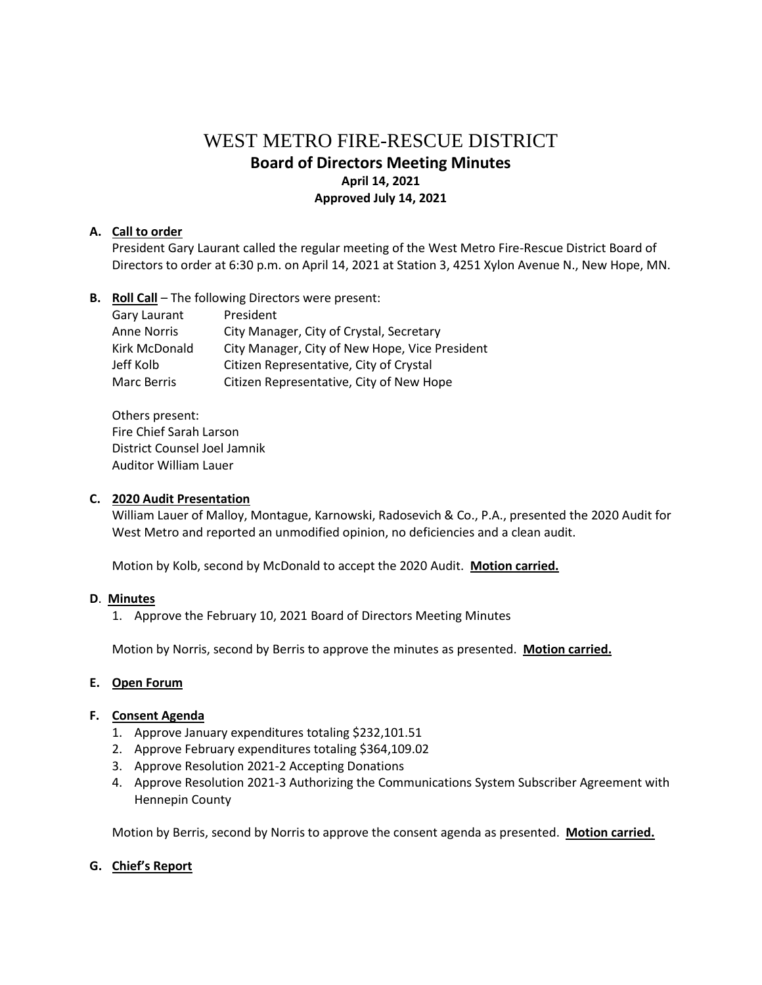# WEST METRO FIRE-RESCUE DISTRICT **Board of Directors Meeting Minutes April 14, 2021 Approved July 14, 2021**

#### **A. Call to order**

President Gary Laurant called the regular meeting of the West Metro Fire-Rescue District Board of Directors to order at 6:30 p.m. on April 14, 2021 at Station 3, 4251 Xylon Avenue N., New Hope, MN.

**B. Roll Call** – The following Directors were present:

| Gary Laurant       | President                                      |
|--------------------|------------------------------------------------|
| <b>Anne Norris</b> | City Manager, City of Crystal, Secretary       |
| Kirk McDonald      | City Manager, City of New Hope, Vice President |
| Jeff Kolb          | Citizen Representative, City of Crystal        |
| Marc Berris        | Citizen Representative, City of New Hope       |

Others present: Fire Chief Sarah Larson District Counsel Joel Jamnik Auditor William Lauer

#### **C. 2020 Audit Presentation**

William Lauer of Malloy, Montague, Karnowski, Radosevich & Co., P.A., presented the 2020 Audit for West Metro and reported an unmodified opinion, no deficiencies and a clean audit.

Motion by Kolb, second by McDonald to accept the 2020 Audit. **Motion carried.**

#### **D**. **Minutes**

1. Approve the February 10, 2021 Board of Directors Meeting Minutes

Motion by Norris, second by Berris to approve the minutes as presented. **Motion carried.**

#### **E. Open Forum**

#### **F. Consent Agenda**

- 1. Approve January expenditures totaling \$232,101.51
- 2. Approve February expenditures totaling \$364,109.02
- 3. Approve Resolution 2021-2 Accepting Donations
- 4. Approve Resolution 2021-3 Authorizing the Communications System Subscriber Agreement with Hennepin County

Motion by Berris, second by Norris to approve the consent agenda as presented. **Motion carried.**

#### **G. Chief's Report**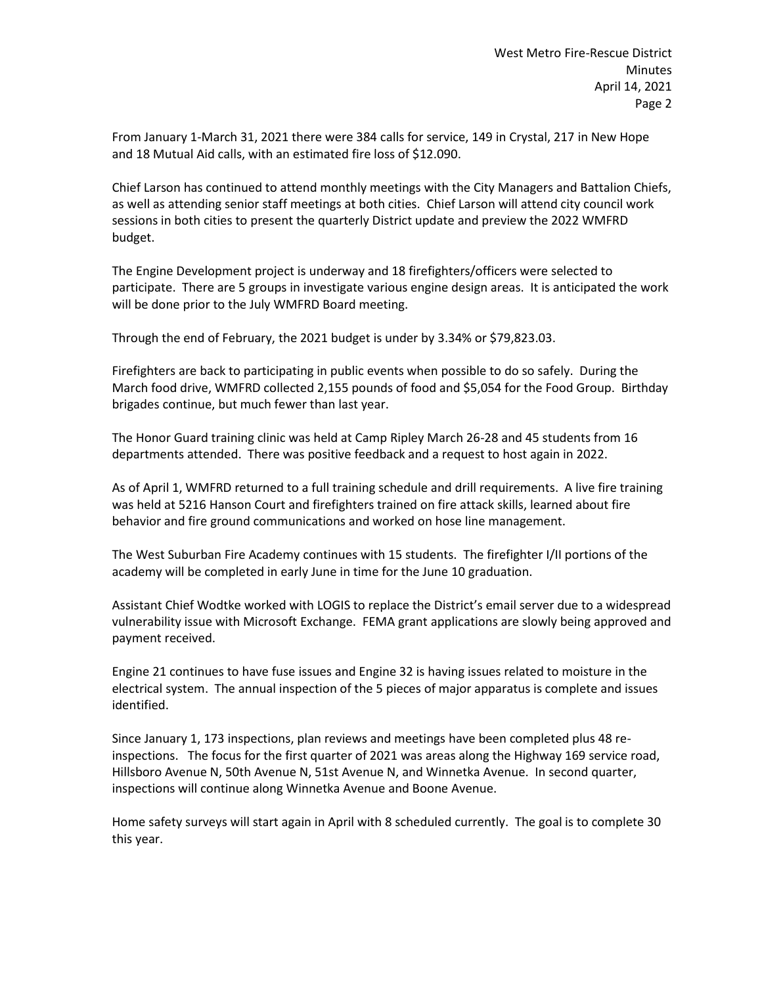From January 1-March 31, 2021 there were 384 calls for service, 149 in Crystal, 217 in New Hope and 18 Mutual Aid calls, with an estimated fire loss of \$12.090.

Chief Larson has continued to attend monthly meetings with the City Managers and Battalion Chiefs, as well as attending senior staff meetings at both cities. Chief Larson will attend city council work sessions in both cities to present the quarterly District update and preview the 2022 WMFRD budget.

The Engine Development project is underway and 18 firefighters/officers were selected to participate. There are 5 groups in investigate various engine design areas. It is anticipated the work will be done prior to the July WMFRD Board meeting.

Through the end of February, the 2021 budget is under by 3.34% or \$79,823.03.

Firefighters are back to participating in public events when possible to do so safely. During the March food drive, WMFRD collected 2,155 pounds of food and \$5,054 for the Food Group. Birthday brigades continue, but much fewer than last year.

The Honor Guard training clinic was held at Camp Ripley March 26-28 and 45 students from 16 departments attended. There was positive feedback and a request to host again in 2022.

As of April 1, WMFRD returned to a full training schedule and drill requirements. A live fire training was held at 5216 Hanson Court and firefighters trained on fire attack skills, learned about fire behavior and fire ground communications and worked on hose line management.

The West Suburban Fire Academy continues with 15 students. The firefighter I/II portions of the academy will be completed in early June in time for the June 10 graduation.

Assistant Chief Wodtke worked with LOGIS to replace the District's email server due to a widespread vulnerability issue with Microsoft Exchange. FEMA grant applications are slowly being approved and payment received.

Engine 21 continues to have fuse issues and Engine 32 is having issues related to moisture in the electrical system. The annual inspection of the 5 pieces of major apparatus is complete and issues identified.

Since January 1, 173 inspections, plan reviews and meetings have been completed plus 48 reinspections. The focus for the first quarter of 2021 was areas along the Highway 169 service road, Hillsboro Avenue N, 50th Avenue N, 51st Avenue N, and Winnetka Avenue. In second quarter, inspections will continue along Winnetka Avenue and Boone Avenue.

Home safety surveys will start again in April with 8 scheduled currently. The goal is to complete 30 this year.